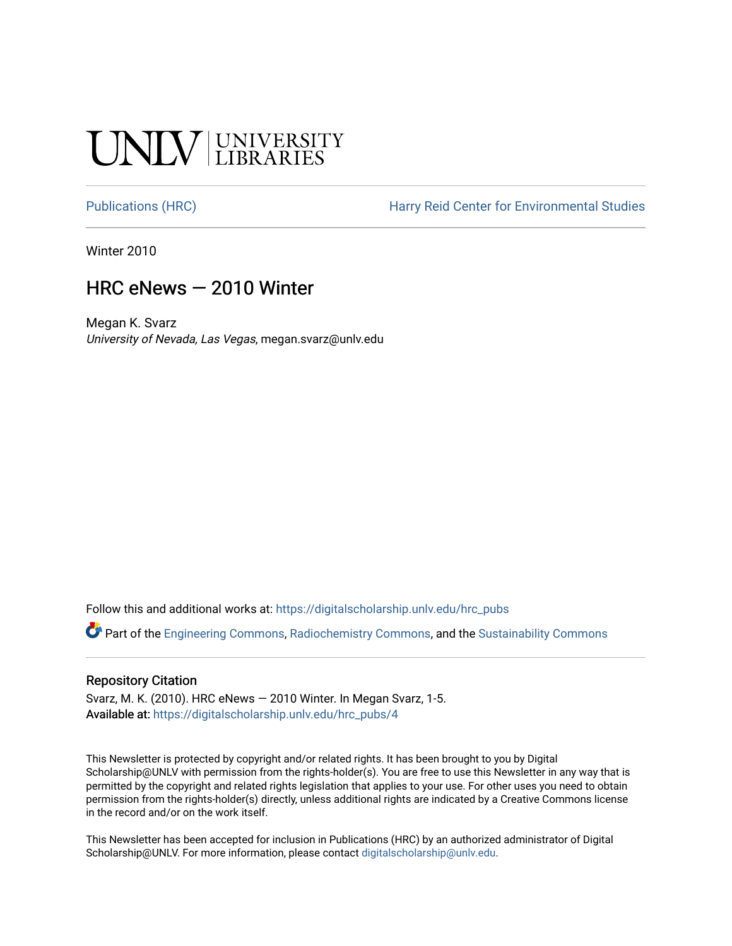## **CINITY UNIVERSITY**

[Publications \(HRC\)](https://digitalscholarship.unlv.edu/hrc_pubs) The Harry Reid Center for Environmental Studies

Winter 2010

### HRC eNews — 2010 Winter

Megan K. Svarz University of Nevada, Las Vegas, megan.svarz@unlv.edu

Follow this and additional works at: [https://digitalscholarship.unlv.edu/hrc\\_pubs](https://digitalscholarship.unlv.edu/hrc_pubs?utm_source=digitalscholarship.unlv.edu%2Fhrc_pubs%2F4&utm_medium=PDF&utm_campaign=PDFCoverPages)

Part of the [Engineering Commons](http://network.bepress.com/hgg/discipline/217?utm_source=digitalscholarship.unlv.edu%2Fhrc_pubs%2F4&utm_medium=PDF&utm_campaign=PDFCoverPages), [Radiochemistry Commons](http://network.bepress.com/hgg/discipline/1196?utm_source=digitalscholarship.unlv.edu%2Fhrc_pubs%2F4&utm_medium=PDF&utm_campaign=PDFCoverPages), and the [Sustainability Commons](http://network.bepress.com/hgg/discipline/1031?utm_source=digitalscholarship.unlv.edu%2Fhrc_pubs%2F4&utm_medium=PDF&utm_campaign=PDFCoverPages) 

#### Repository Citation

Svarz, M. K. (2010). HRC eNews — 2010 Winter. In Megan Svarz, 1-5. Available at: [https://digitalscholarship.unlv.edu/hrc\\_pubs/4](https://digitalscholarship.unlv.edu/hrc_pubs/4)

This Newsletter is protected by copyright and/or related rights. It has been brought to you by Digital Scholarship@UNLV with permission from the rights-holder(s). You are free to use this Newsletter in any way that is permitted by the copyright and related rights legislation that applies to your use. For other uses you need to obtain permission from the rights-holder(s) directly, unless additional rights are indicated by a Creative Commons license in the record and/or on the work itself.

This Newsletter has been accepted for inclusion in Publications (HRC) by an authorized administrator of Digital Scholarship@UNLV. For more information, please contact [digitalscholarship@unlv.edu.](mailto:digitalscholarship@unlv.edu)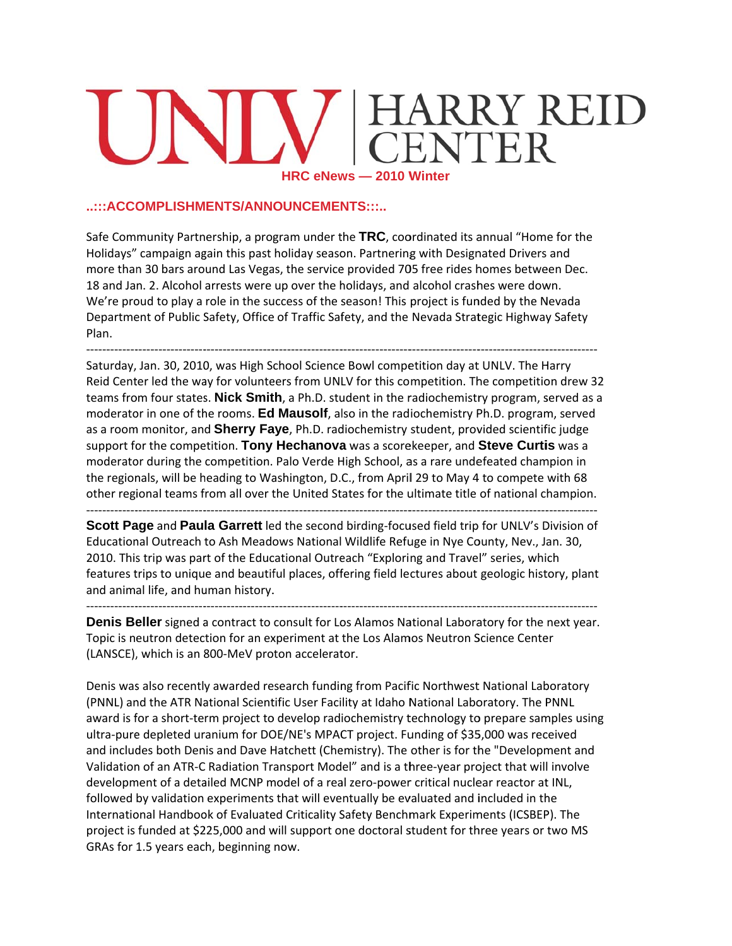# RRY REID HRC eNews - 2010 Winter

#### ..:::ACCOMPLISHMENTS/ANNOUNCEMENTS:::..

Safe Community Partnership, a program under the TRC, coordinated its annual "Home for the Holidays" campaign again this past holiday season. Partnering with Designated Drivers and more than 30 bars around Las Vegas, the service provided 705 free rides homes between Dec. 18 and Jan. 2. Alcohol arrests were up over the holidays, and alcohol crashes were down. We're proud to play a role in the success of the season! This project is funded by the Nevada Department of Public Safety, Office of Traffic Safety, and the Nevada Strategic Highway Safety Plan.

Saturday, Jan. 30, 2010, was High School Science Bowl competition day at UNLV. The Harry Reid Center led the way for volunteers from UNLV for this competition. The competition drew 32 teams from four states. **Nick Smith**, a Ph.D. student in the radiochemistry program, served as a moderator in one of the rooms. Ed Mausolf, also in the radiochemistry Ph.D. program, served as a room monitor, and Sherry Faye, Ph.D. radiochemistry student, provided scientific judge support for the competition. Tony Hechanova was a scorekeeper, and Steve Curtis was a moderator during the competition. Palo Verde High School, as a rare undefeated champion in the regionals, will be heading to Washington, D.C., from April 29 to May 4 to compete with 68 other regional teams from all over the United States for the ultimate title of national champion.

Scott Page and Paula Garrett led the second birding-focused field trip for UNLV's Division of Educational Outreach to Ash Meadows National Wildlife Refuge in Nye County, Nev., Jan. 30, 2010. This trip was part of the Educational Outreach "Exploring and Travel" series, which features trips to unique and beautiful places, offering field lectures about geologic history, plant and animal life, and human history.

Denis Beller signed a contract to consult for Los Alamos National Laboratory for the next year. Topic is neutron detection for an experiment at the Los Alamos Neutron Science Center (LANSCE), which is an 800-MeV proton accelerator.

Denis was also recently awarded research funding from Pacific Northwest National Laboratory (PNNL) and the ATR National Scientific User Facility at Idaho National Laboratory. The PNNL award is for a short-term project to develop radiochemistry technology to prepare samples using ultra-pure depleted uranium for DOE/NE's MPACT project. Funding of \$35,000 was received and includes both Denis and Dave Hatchett (Chemistry). The other is for the "Development and Validation of an ATR-C Radiation Transport Model" and is a three-year project that will involve development of a detailed MCNP model of a real zero-power critical nuclear reactor at INL, followed by validation experiments that will eventually be evaluated and included in the International Handbook of Evaluated Criticality Safety Benchmark Experiments (ICSBEP). The project is funded at \$225,000 and will support one doctoral student for three years or two MS GRAs for 1.5 years each, beginning now.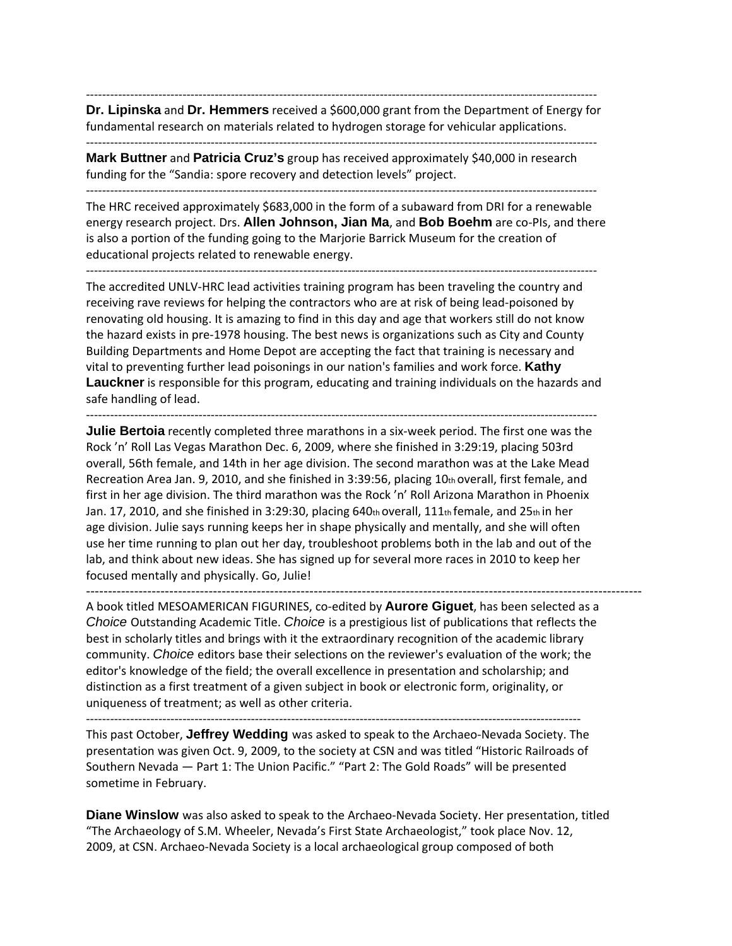‐‐‐‐‐‐‐‐‐‐‐‐‐‐‐‐‐‐‐‐‐‐‐‐‐‐‐‐‐‐‐‐‐‐‐‐‐‐‐‐‐‐‐‐‐‐‐‐‐‐‐‐‐‐‐‐‐‐‐‐‐‐‐‐‐‐‐‐‐‐‐‐‐‐‐‐‐‐‐‐‐‐‐‐‐‐‐‐‐‐‐‐‐‐‐‐‐‐‐‐‐‐‐‐‐‐‐‐‐‐‐‐‐‐‐‐‐‐‐‐‐‐‐‐‐‐‐ **Dr. Lipinska** and Dr. Hemmers received a \$600,000 grant from the Department of Energy for fundamental research on materials related to hydrogen storage for vehicular applications.

‐‐‐‐‐‐‐‐‐‐‐‐‐‐‐‐‐‐‐‐‐‐‐‐‐‐‐‐‐‐‐‐‐‐‐‐‐‐‐‐‐‐‐‐‐‐‐‐‐‐‐‐‐‐‐‐‐‐‐‐‐‐‐‐‐‐‐‐‐‐‐‐‐‐‐‐‐‐‐‐‐‐‐‐‐‐‐‐‐‐‐‐‐‐‐‐‐‐‐‐‐‐‐‐‐‐‐‐‐‐‐‐‐‐‐‐‐‐‐‐‐‐‐‐‐‐‐ **Mark Buttner** and **Patricia Cruz's** group has received approximately \$40,000 in research

funding for the "Sandia: spore recovery and detection levels" project. ‐‐‐‐‐‐‐‐‐‐‐‐‐‐‐‐‐‐‐‐‐‐‐‐‐‐‐‐‐‐‐‐‐‐‐‐‐‐‐‐‐‐‐‐‐‐‐‐‐‐‐‐‐‐‐‐‐‐‐‐‐‐‐‐‐‐‐‐‐‐‐‐‐‐‐‐‐‐‐‐‐‐‐‐‐‐‐‐‐‐‐‐‐‐‐‐‐‐‐‐‐‐‐‐‐‐‐‐‐‐‐‐‐‐‐‐‐‐‐‐‐‐‐‐‐‐‐

The HRC received approximately \$683,000 in the form of a subaward from DRI for a renewable energy research project. Drs. **Allen Johnson, Jian Ma**, and **Bob Boehm** are co‐PIs, and there is also a portion of the funding going to the Marjorie Barrick Museum for the creation of educational projects related to renewable energy.

‐‐‐‐‐‐‐‐‐‐‐‐‐‐‐‐‐‐‐‐‐‐‐‐‐‐‐‐‐‐‐‐‐‐‐‐‐‐‐‐‐‐‐‐‐‐‐‐‐‐‐‐‐‐‐‐‐‐‐‐‐‐‐‐‐‐‐‐‐‐‐‐‐‐‐‐‐‐‐‐‐‐‐‐‐‐‐‐‐‐‐‐‐‐‐‐‐‐‐‐‐‐‐‐‐‐‐‐‐‐‐‐‐‐‐‐‐‐‐‐‐‐‐‐‐‐‐

The accredited UNLV‐HRC lead activities training program has been traveling the country and receiving rave reviews for helping the contractors who are at risk of being lead‐poisoned by renovating old housing. It is amazing to find in this day and age that workers still do not know the hazard exists in pre‐1978 housing. The best news is organizations such as City and County Building Departments and Home Depot are accepting the fact that training is necessary and vital to preventing further lead poisonings in our nation's families and work force. **Kathy Lauckner** is responsible for this program, educating and training individuals on the hazards and safe handling of lead.

‐‐‐‐‐‐‐‐‐‐‐‐‐‐‐‐‐‐‐‐‐‐‐‐‐‐‐‐‐‐‐‐‐‐‐‐‐‐‐‐‐‐‐‐‐‐‐‐‐‐‐‐‐‐‐‐‐‐‐‐‐‐‐‐‐‐‐‐‐‐‐‐‐‐‐‐‐‐‐‐‐‐‐‐‐‐‐‐‐‐‐‐‐‐‐‐‐‐‐‐‐‐‐‐‐‐‐‐‐‐‐‐‐‐‐‐‐‐‐‐‐‐‐‐‐‐‐

**Julie Bertoia** recently completed three marathons in a six-week period. The first one was the Rock 'n' Roll Las Vegas Marathon Dec. 6, 2009, where she finished in 3:29:19, placing 503rd overall, 56th female, and 14th in her age division. The second marathon was at the Lake Mead Recreation Area Jan. 9, 2010, and she finished in 3:39:56, placing 10th overall, first female, and first in her age division. The third marathon was the Rock 'n' Roll Arizona Marathon in Phoenix Jan. 17, 2010, and she finished in 3:29:30, placing 640th overall, 111th female, and 25th in her age division. Julie says running keeps her in shape physically and mentally, and she will often use her time running to plan out her day, troubleshoot problems both in the lab and out of the lab, and think about new ideas. She has signed up for several more races in 2010 to keep her focused mentally and physically. Go, Julie!

------------------------------------------------------------------------------------------------------------------------------- A book titled MESOAMERICAN FIGURINES, co‐edited by **Aurore Giguet**, has been selected as a *Choice* Outstanding Academic Title. *Choice* is a prestigious list of publications that reflects the best in scholarly titles and brings with it the extraordinary recognition of the academic library community. *Choice* editors base their selections on the reviewer's evaluation of the work; the editor's knowledge of the field; the overall excellence in presentation and scholarship; and distinction as a first treatment of a given subject in book or electronic form, originality, or uniqueness of treatment; as well as other criteria.

‐‐‐‐‐‐‐‐‐‐‐‐‐‐‐‐‐‐‐‐‐‐‐‐‐‐‐‐‐‐‐‐‐‐‐‐‐‐‐‐‐‐‐‐‐‐‐‐‐‐‐‐‐‐‐‐‐‐‐‐‐‐‐‐‐‐‐‐‐‐‐‐‐‐‐‐‐‐‐‐‐‐‐‐‐‐‐‐‐‐‐‐‐‐‐‐‐‐‐‐‐‐‐‐‐‐‐‐‐‐‐‐‐‐‐‐‐‐‐‐‐‐‐

This past October, **Jeffrey Wedding** was asked to speak to the Archaeo‐Nevada Society. The presentation was given Oct. 9, 2009, to the society at CSN and was titled "Historic Railroads of Southern Nevada — Part 1: The Union Pacific." "Part 2: The Gold Roads" will be presented sometime in February.

**Diane Winslow** was also asked to speak to the Archaeo-Nevada Society. Her presentation, titled "The Archaeology of S.M. Wheeler, Nevada's First State Archaeologist," took place Nov. 12, 2009, at CSN. Archaeo‐Nevada Society is a local archaeological group composed of both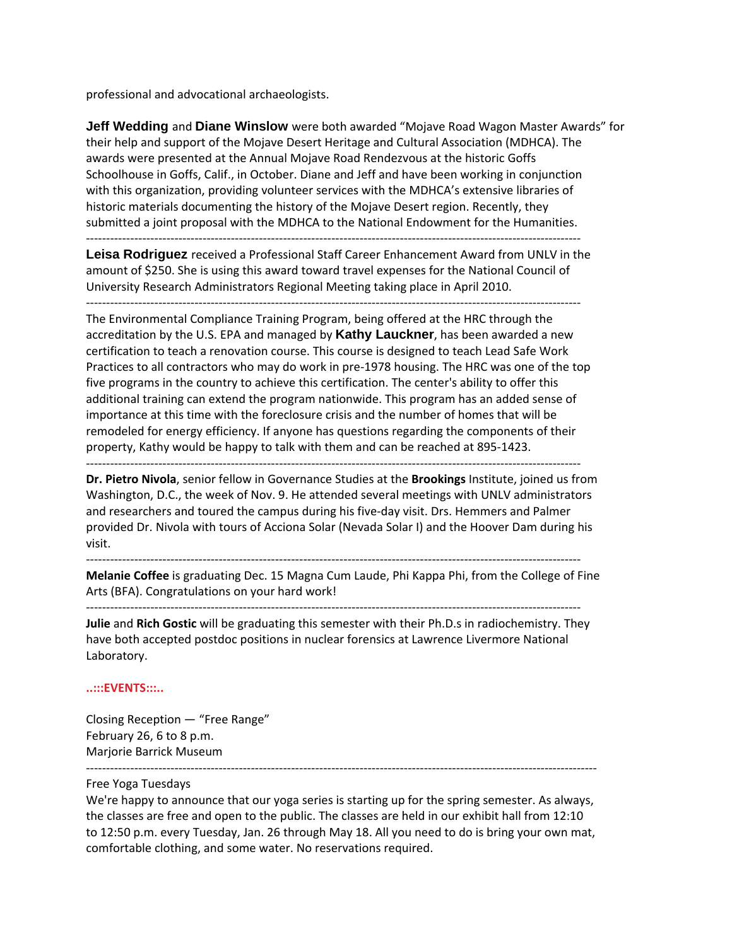professional and advocational archaeologists.

**Jeff Wedding** and **Diane Winslow** were both awarded "Mojave Road Wagon Master Awards" for their help and support of the Mojave Desert Heritage and Cultural Association (MDHCA). The awards were presented at the Annual Mojave Road Rendezvous at the historic Goffs Schoolhouse in Goffs, Calif., in October. Diane and Jeff and have been working in conjunction with this organization, providing volunteer services with the MDHCA's extensive libraries of historic materials documenting the history of the Mojave Desert region. Recently, they submitted a joint proposal with the MDHCA to the National Endowment for the Humanities.

‐‐‐‐‐‐‐‐‐‐‐‐‐‐‐‐‐‐‐‐‐‐‐‐‐‐‐‐‐‐‐‐‐‐‐‐‐‐‐‐‐‐‐‐‐‐‐‐‐‐‐‐‐‐‐‐‐‐‐‐‐‐‐‐‐‐‐‐‐‐‐‐‐‐‐‐‐‐‐‐‐‐‐‐‐‐‐‐‐‐‐‐‐‐‐‐‐‐‐‐‐‐‐‐‐‐‐‐‐‐‐‐‐‐‐‐‐‐‐‐‐‐‐

**Leisa Rodriguez** received a Professional Staff Career Enhancement Award from UNLV in the amount of \$250. She is using this award toward travel expenses for the National Council of University Research Administrators Regional Meeting taking place in April 2010.

‐‐‐‐‐‐‐‐‐‐‐‐‐‐‐‐‐‐‐‐‐‐‐‐‐‐‐‐‐‐‐‐‐‐‐‐‐‐‐‐‐‐‐‐‐‐‐‐‐‐‐‐‐‐‐‐‐‐‐‐‐‐‐‐‐‐‐‐‐‐‐‐‐‐‐‐‐‐‐‐‐‐‐‐‐‐‐‐‐‐‐‐‐‐‐‐‐‐‐‐‐‐‐‐‐‐‐‐‐‐‐‐‐‐‐‐‐‐‐‐‐‐‐

The Environmental Compliance Training Program, being offered at the HRC through the accreditation by the U.S. EPA and managed by **Kathy Lauckner**, has been awarded a new certification to teach a renovation course. This course is designed to teach Lead Safe Work Practices to all contractors who may do work in pre‐1978 housing. The HRC was one of the top five programs in the country to achieve this certification. The center's ability to offer this additional training can extend the program nationwide. This program has an added sense of importance at this time with the foreclosure crisis and the number of homes that will be remodeled for energy efficiency. If anyone has questions regarding the components of their property, Kathy would be happy to talk with them and can be reached at 895‐1423.

‐‐‐‐‐‐‐‐‐‐‐‐‐‐‐‐‐‐‐‐‐‐‐‐‐‐‐‐‐‐‐‐‐‐‐‐‐‐‐‐‐‐‐‐‐‐‐‐‐‐‐‐‐‐‐‐‐‐‐‐‐‐‐‐‐‐‐‐‐‐‐‐‐‐‐‐‐‐‐‐‐‐‐‐‐‐‐‐‐‐‐‐‐‐‐‐‐‐‐‐‐‐‐‐‐‐‐‐‐‐‐‐‐‐‐‐‐‐‐‐‐‐‐

**Dr. Pietro Nivola**, senior fellow in Governance Studies at the **Brookings** Institute, joined us from Washington, D.C., the week of Nov. 9. He attended several meetings with UNLV administrators and researchers and toured the campus during his five-day visit. Drs. Hemmers and Palmer provided Dr. Nivola with tours of Acciona Solar (Nevada Solar I) and the Hoover Dam during his visit.

‐‐‐‐‐‐‐‐‐‐‐‐‐‐‐‐‐‐‐‐‐‐‐‐‐‐‐‐‐‐‐‐‐‐‐‐‐‐‐‐‐‐‐‐‐‐‐‐‐‐‐‐‐‐‐‐‐‐‐‐‐‐‐‐‐‐‐‐‐‐‐‐‐‐‐‐‐‐‐‐‐‐‐‐‐‐‐‐‐‐‐‐‐‐‐‐‐‐‐‐‐‐‐‐‐‐‐‐‐‐‐‐‐‐‐‐‐‐‐‐‐‐‐

‐‐‐‐‐‐‐‐‐‐‐‐‐‐‐‐‐‐‐‐‐‐‐‐‐‐‐‐‐‐‐‐‐‐‐‐‐‐‐‐‐‐‐‐‐‐‐‐‐‐‐‐‐‐‐‐‐‐‐‐‐‐‐‐‐‐‐‐‐‐‐‐‐‐‐‐‐‐‐‐‐‐‐‐‐‐‐‐‐‐‐‐‐‐‐‐‐‐‐‐‐‐‐‐‐‐‐‐‐‐‐‐‐‐‐‐‐‐‐‐‐‐‐

**Melanie Coffee** is graduating Dec. 15 Magna Cum Laude, Phi Kappa Phi, from the College of Fine Arts (BFA). Congratulations on your hard work!

**Julie** and **Rich Gostic** will be graduating this semester with their Ph.D.s in radiochemistry. They have both accepted postdoc positions in nuclear forensics at Lawrence Livermore National Laboratory.

#### **..:::EVENTS:::..**

Closing Reception — "Free Range" February 26, 6 to 8 p.m. Marjorie Barrick Museum

#### Free Yoga Tuesdays

We're happy to announce that our yoga series is starting up for the spring semester. As always, the classes are free and open to the public. The classes are held in our exhibit hall from 12:10 to 12:50 p.m. every Tuesday, Jan. 26 through May 18. All you need to do is bring your own mat, comfortable clothing, and some water. No reservations required.

‐‐‐‐‐‐‐‐‐‐‐‐‐‐‐‐‐‐‐‐‐‐‐‐‐‐‐‐‐‐‐‐‐‐‐‐‐‐‐‐‐‐‐‐‐‐‐‐‐‐‐‐‐‐‐‐‐‐‐‐‐‐‐‐‐‐‐‐‐‐‐‐‐‐‐‐‐‐‐‐‐‐‐‐‐‐‐‐‐‐‐‐‐‐‐‐‐‐‐‐‐‐‐‐‐‐‐‐‐‐‐‐‐‐‐‐‐‐‐‐‐‐‐‐‐‐‐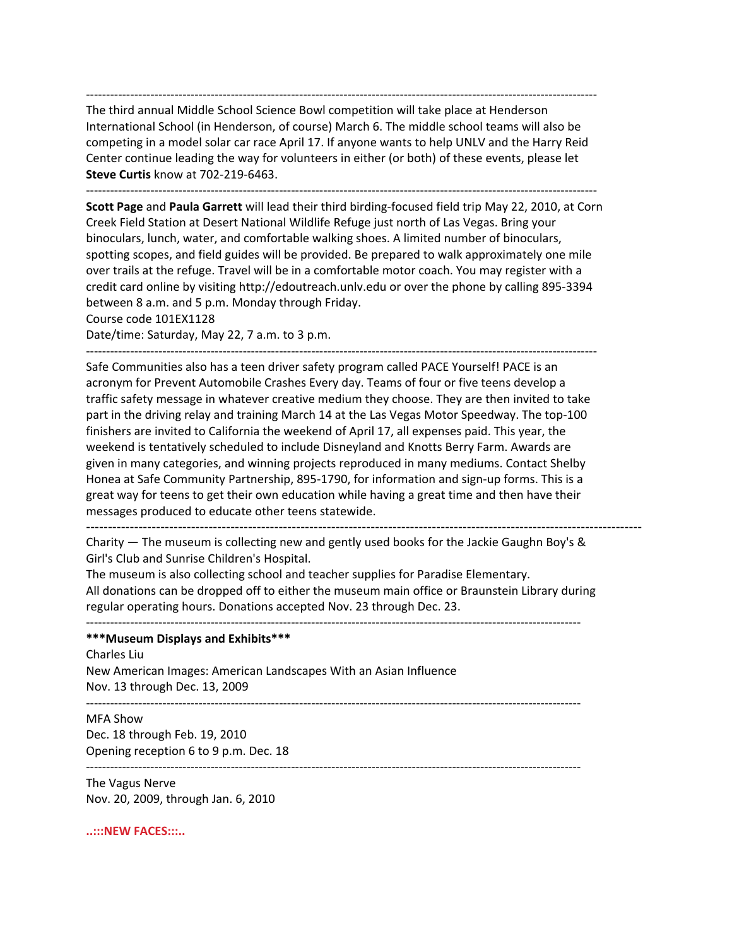‐‐‐‐‐‐‐‐‐‐‐‐‐‐‐‐‐‐‐‐‐‐‐‐‐‐‐‐‐‐‐‐‐‐‐‐‐‐‐‐‐‐‐‐‐‐‐‐‐‐‐‐‐‐‐‐‐‐‐‐‐‐‐‐‐‐‐‐‐‐‐‐‐‐‐‐‐‐‐‐‐‐‐‐‐‐‐‐‐‐‐‐‐‐‐‐‐‐‐‐‐‐‐‐‐‐‐‐‐‐‐‐‐‐‐‐‐‐‐‐‐‐‐‐‐‐‐ The third annual Middle School Science Bowl competition will take place at Henderson International School (in Henderson, of course) March 6. The middle school teams will also be competing in a model solar car race April 17. If anyone wants to help UNLV and the Harry Reid Center continue leading the way for volunteers in either (or both) of these events, please let **Steve Curtis** know at 702‐219‐6463.

‐‐‐‐‐‐‐‐‐‐‐‐‐‐‐‐‐‐‐‐‐‐‐‐‐‐‐‐‐‐‐‐‐‐‐‐‐‐‐‐‐‐‐‐‐‐‐‐‐‐‐‐‐‐‐‐‐‐‐‐‐‐‐‐‐‐‐‐‐‐‐‐‐‐‐‐‐‐‐‐‐‐‐‐‐‐‐‐‐‐‐‐‐‐‐‐‐‐‐‐‐‐‐‐‐‐‐‐‐‐‐‐‐‐‐‐‐‐‐‐‐‐‐‐‐‐‐

**Scott Page** and **Paula Garrett** will lead their third birding‐focused field trip May 22, 2010, at Corn Creek Field Station at Desert National Wildlife Refuge just north of Las Vegas. Bring your binoculars, lunch, water, and comfortable walking shoes. A limited number of binoculars, spotting scopes, and field guides will be provided. Be prepared to walk approximately one mile over trails at the refuge. Travel will be in a comfortable motor coach. You may register with a credit card online by visiting http://edoutreach.unlv.edu or over the phone by calling 895‐3394 between 8 a.m. and 5 p.m. Monday through Friday.

Course code 101EX1128

Date/time: Saturday, May 22, 7 a.m. to 3 p.m.

‐‐‐‐‐‐‐‐‐‐‐‐‐‐‐‐‐‐‐‐‐‐‐‐‐‐‐‐‐‐‐‐‐‐‐‐‐‐‐‐‐‐‐‐‐‐‐‐‐‐‐‐‐‐‐‐‐‐‐‐‐‐‐‐‐‐‐‐‐‐‐‐‐‐‐‐‐‐‐‐‐‐‐‐‐‐‐‐‐‐‐‐‐‐‐‐‐‐‐‐‐‐‐‐‐‐‐‐‐‐‐‐‐‐‐‐‐‐‐‐‐‐‐‐‐‐‐ Safe Communities also has a teen driver safety program called PACE Yourself! PACE is an

acronym for Prevent Automobile Crashes Every day. Teams of four or five teens develop a traffic safety message in whatever creative medium they choose. They are then invited to take part in the driving relay and training March 14 at the Las Vegas Motor Speedway. The top-100 finishers are invited to California the weekend of April 17, all expenses paid. This year, the weekend is tentatively scheduled to include Disneyland and Knotts Berry Farm. Awards are given in many categories, and winning projects reproduced in many mediums. Contact Shelby Honea at Safe Community Partnership, 895‐1790, for information and sign‐up forms. This is a great way for teens to get their own education while having a great time and then have their messages produced to educate other teens statewide.

------------------------------------------------------------------------------------------------------------------------------- Charity — The museum is collecting new and gently used books for the Jackie Gaughn Boy's & Girl's Club and Sunrise Children's Hospital.

The museum is also collecting school and teacher supplies for Paradise Elementary. All donations can be dropped off to either the museum main office or Braunstein Library during regular operating hours. Donations accepted Nov. 23 through Dec. 23.

#### **\*\*\*Museum Displays and Exhibits\*\*\***

Charles Liu

New American Images: American Landscapes With an Asian Influence Nov. 13 through Dec. 13, 2009

MFA Show Dec. 18 through Feb. 19, 2010 Opening reception 6 to 9 p.m. Dec. 18

The Vagus Nerve Nov. 20, 2009, through Jan. 6, 2010

‐‐‐‐‐‐‐‐‐‐‐‐‐‐‐‐‐‐‐‐‐‐‐‐‐‐‐‐‐‐‐‐‐‐‐‐‐‐‐‐‐‐‐‐‐‐‐‐‐‐‐‐‐‐‐‐‐‐‐‐‐‐‐‐‐‐‐‐‐‐‐‐‐‐‐‐‐‐‐‐‐‐‐‐‐‐‐‐‐‐‐‐‐‐‐‐‐‐‐‐‐‐‐‐‐‐‐‐‐‐‐‐‐‐‐‐‐‐‐‐‐‐‐

**..:::NEW FACES:::..**